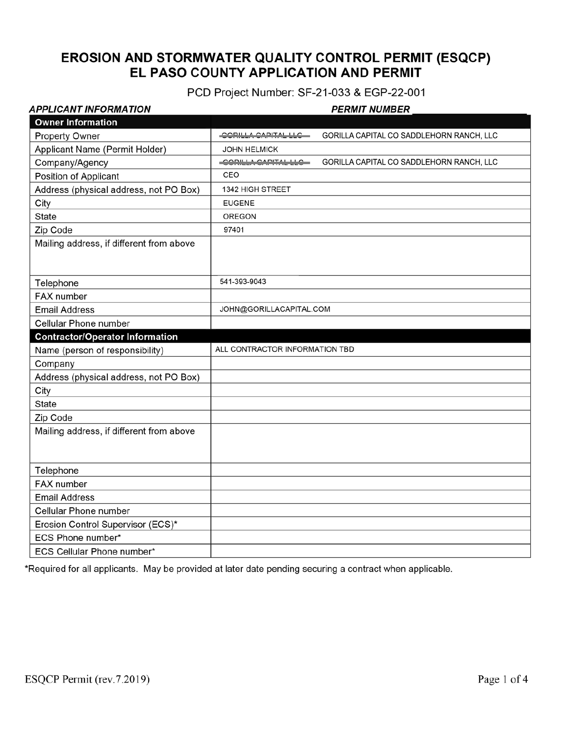# EROSION AND STORMWATER QUALITY CONTROL PERMIT (ESQCP) EL PASO COUNTY APPLICATION AND PERMIT

PCD Project Number: SF-21-033 & EGP-22-001

| APPLICANT INFORMATION                    | <b>PERMIT NUMBER</b>                                            |  |
|------------------------------------------|-----------------------------------------------------------------|--|
| <b>Owner Information</b>                 |                                                                 |  |
| <b>Property Owner</b>                    | COPILIA CAPITALILO<br>GORILLA CAPITAL CO SADDLEHORN RANCH, LLC  |  |
| Applicant Name (Permit Holder)           | <b>JOHN HELMICK</b>                                             |  |
| Company/Agency                           | GORILLA CAPITAL CO SADDLEHORN RANCH, LLC<br>CORILLA CAPITAL LLC |  |
| Position of Applicant                    | CEO                                                             |  |
| Address (physical address, not PO Box)   | <b>1342 HIGH STREET</b>                                         |  |
| City                                     | <b>EUGENE</b>                                                   |  |
| State                                    | <b>OREGON</b>                                                   |  |
| Zip Code                                 | 97401                                                           |  |
| Mailing address, if different from above |                                                                 |  |
| Telephone                                | 541-393-9043                                                    |  |
| FAX number                               |                                                                 |  |
| <b>Email Address</b>                     | JOHN@GORILLACAPITAL.COM                                         |  |
| Cellular Phone number                    |                                                                 |  |
| <b>Contractor/Operator Information</b>   |                                                                 |  |
| Name (person of responsibility)          | ALL CONTRACTOR INFORMATION TBD                                  |  |
| Company                                  |                                                                 |  |
| Address (physical address, not PO Box)   |                                                                 |  |
| City                                     |                                                                 |  |
| <b>State</b>                             |                                                                 |  |
| Zip Code                                 |                                                                 |  |
| Mailing address, if different from above |                                                                 |  |
| Telephone                                |                                                                 |  |
| FAX number                               |                                                                 |  |
| <b>Email Address</b>                     |                                                                 |  |
| <b>Cellular Phone number</b>             |                                                                 |  |
| Erosion Control Supervisor (ECS)*        |                                                                 |  |
| ECS Phone number*                        |                                                                 |  |
|                                          |                                                                 |  |

\*Required for all applicants. May be provided at later date pending securing a contract when applicable.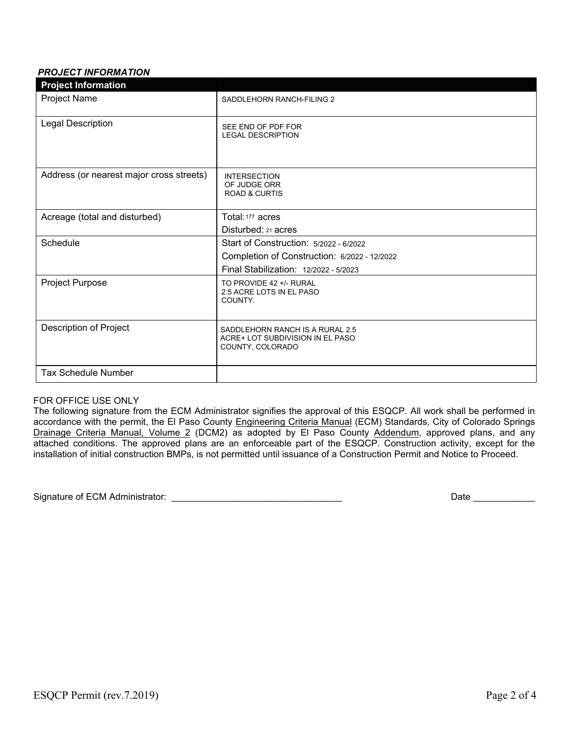### *PROJECT INFORMATION*

| <b>Project Information</b>               |                                                                                                                                 |
|------------------------------------------|---------------------------------------------------------------------------------------------------------------------------------|
| Project Name                             | SADDLEHORN RANCH-FILING 2                                                                                                       |
| Legal Description                        | SEE END OF PDF FOR<br><b>LEGAL DESCRIPTION</b>                                                                                  |
| Address (or nearest major cross streets) | <b>INTERSECTION</b><br>OF JUDGE ORR<br><b>ROAD &amp; CURTIS</b>                                                                 |
| Acreage (total and disturbed)            | Total: 177 acres<br>Disturbed: 21 acres                                                                                         |
| Schedule                                 | Start of Construction: 5/2022 - 6/2022<br>Completion of Construction: 6/2022 - 12/2022<br>Final Stabilization: 12/2022 - 5/2023 |
| Project Purpose                          | TO PROVIDE 42 +/- RURAL<br>2.5 ACRE LOTS IN EL PASO<br>COUNTY.                                                                  |
| Description of Project                   | SADDLEHORN RANCH IS A RURAL 2.5<br>ACRE+ LOT SUBDIVISION IN EL PASO<br>COUNTY, COLORADO                                         |
| <b>Tax Schedule Number</b>               |                                                                                                                                 |

#### FOR OFFICE USE ONLY

The following signature from the ECM Administrator signifies the approval of this ESQCP. All work shall be performed in accordance with the permit, the El Paso County Engineering Criteria Manual (ECM) Standards, City of Colorado Springs Drainage Criteria Manual, Volume 2 (DCM2) as adopted by El Paso County Addendum, approved plans, and any attached conditions. The approved plans are an enforceable part of the ESQCP. Construction activity, except for the installation of initial construction BMPs, is not permitted until issuance of a Construction Permit and Notice to Proceed.

Signature of ECM Administrator: \_\_\_\_\_\_\_\_\_\_\_\_\_\_\_\_\_\_\_\_\_\_\_\_\_\_\_\_\_\_\_\_\_ Date \_\_\_\_\_\_\_\_\_\_\_\_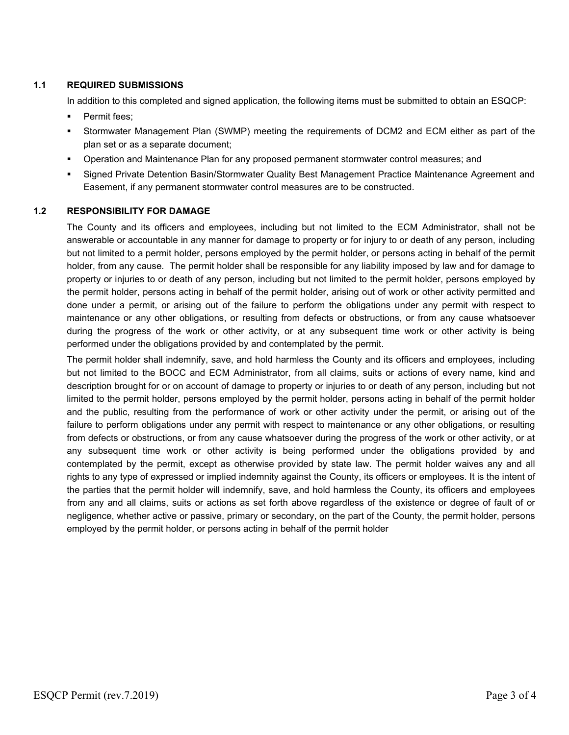### **1.1 REQUIRED SUBMISSIONS**

In addition to this completed and signed application, the following items must be submitted to obtain an ESQCP:

- Permit fees;
- Stormwater Management Plan (SWMP) meeting the requirements of DCM2 and ECM either as part of the plan set or as a separate document;
- Operation and Maintenance Plan for any proposed permanent stormwater control measures; and
- Signed Private Detention Basin/Stormwater Quality Best Management Practice Maintenance Agreement and Easement, if any permanent stormwater control measures are to be constructed.

#### **1.2 RESPONSIBILITY FOR DAMAGE**

The County and its officers and employees, including but not limited to the ECM Administrator, shall not be answerable or accountable in any manner for damage to property or for injury to or death of any person, including but not limited to a permit holder, persons employed by the permit holder, or persons acting in behalf of the permit holder, from any cause. The permit holder shall be responsible for any liability imposed by law and for damage to property or injuries to or death of any person, including but not limited to the permit holder, persons employed by the permit holder, persons acting in behalf of the permit holder, arising out of work or other activity permitted and done under a permit, or arising out of the failure to perform the obligations under any permit with respect to maintenance or any other obligations, or resulting from defects or obstructions, or from any cause whatsoever during the progress of the work or other activity, or at any subsequent time work or other activity is being performed under the obligations provided by and contemplated by the permit.

The permit holder shall indemnify, save, and hold harmless the County and its officers and employees, including but not limited to the BOCC and ECM Administrator, from all claims, suits or actions of every name, kind and description brought for or on account of damage to property or injuries to or death of any person, including but not limited to the permit holder, persons employed by the permit holder, persons acting in behalf of the permit holder and the public, resulting from the performance of work or other activity under the permit, or arising out of the failure to perform obligations under any permit with respect to maintenance or any other obligations, or resulting from defects or obstructions, or from any cause whatsoever during the progress of the work or other activity, or at any subsequent time work or other activity is being performed under the obligations provided by and contemplated by the permit, except as otherwise provided by state law. The permit holder waives any and all rights to any type of expressed or implied indemnity against the County, its officers or employees. It is the intent of the parties that the permit holder will indemnify, save, and hold harmless the County, its officers and employees from any and all claims, suits or actions as set forth above regardless of the existence or degree of fault of or negligence, whether active or passive, primary or secondary, on the part of the County, the permit holder, persons employed by the permit holder, or persons acting in behalf of the permit holder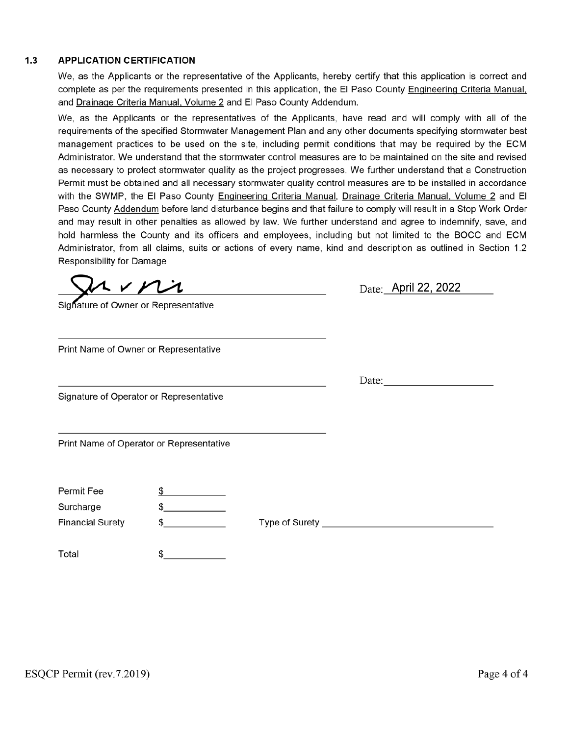#### **APPLICATION CERTIFICATION**  $1.3$

We, as the Applicants or the representative of the Applicants, hereby certify that this application is correct and complete as per the requirements presented in this application, the El Paso County Engineering Criteria Manual, and Drainage Criteria Manual, Volume 2 and El Paso County Addendum.

We, as the Applicants or the representatives of the Applicants, have read and will comply with all of the requirements of the specified Stormwater Management Plan and any other documents specifying stormwater best management practices to be used on the site, including permit conditions that may be required by the ECM Administrator. We understand that the stormwater control measures are to be maintained on the site and revised as necessary to protect stormwater quality as the project progresses. We further understand that a Construction Permit must be obtained and all necessary stormwater quality control measures are to be installed in accordance with the SWMP, the El Paso County Engineering Criteria Manual, Drainage Criteria Manual, Volume 2 and El Paso County Addendum before land disturbance begins and that failure to comply will result in a Stop Work Order and may result in other penalties as allowed by law. We further understand and agree to indemnify, save, and hold harmless the County and its officers and employees, including but not limited to the BOCC and ECM Administrator, from all claims, suits or actions of every name, kind and description as outlined in Section 1.2 **Responsibility for Damage** 

uini

|  |  |  | Sighature of Owner or Representative |
|--|--|--|--------------------------------------|
|--|--|--|--------------------------------------|

Print Name of Owner or Representative

Signature of Operator or Representative

Print Name of Operator or Representative

| Permit Fee |  |
|------------|--|
|            |  |

Surcharge

**Financial Surety** 

Type of Surety **Exercise Server Server Server Server Server Server Server Server Server Server Server Server Server Server Server Server Server Server Server Server Server Server Server Server Server Server Server Server S** 

Total \$ Date: April 22, 2022

Date:

 $\frac{1}{2}$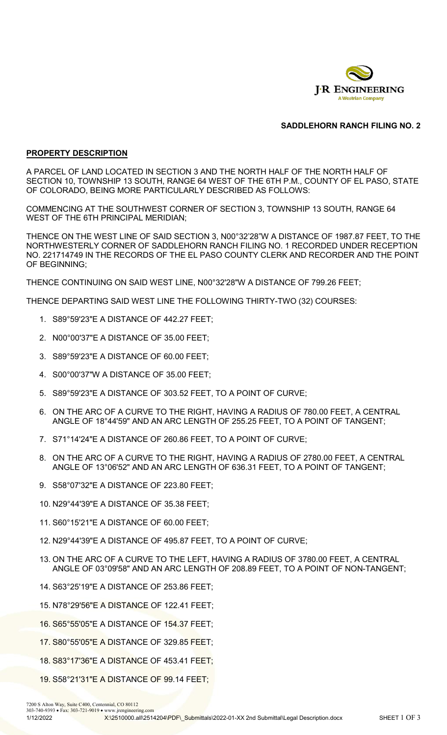

## **SADDLEHORN RANCH FILING NO. 2**

#### **PROPERTY DESCRIPTION**

A PARCEL OF LAND LOCATED IN SECTION 3 AND THE NORTH HALF OF THE NORTH HALF OF SECTION 10, TOWNSHIP 13 SOUTH, RANGE 64 WEST OF THE 6TH P.M., COUNTY OF EL PASO, STATE OF COLORADO, BEING MORE PARTICULARLY DESCRIBED AS FOLLOWS:

COMMENCING AT THE SOUTHWEST CORNER OF SECTION 3, TOWNSHIP 13 SOUTH, RANGE 64 WEST OF THE 6TH PRINCIPAL MERIDIAN;

THENCE ON THE WEST LINE OF SAID SECTION 3, N00°32'28"W A DISTANCE OF 1987.87 FEET, TO THE NORTHWESTERLY CORNER OF SADDLEHORN RANCH FILING NO. 1 RECORDED UNDER RECEPTION NO. 221714749 IN THE RECORDS OF THE EL PASO COUNTY CLERK AND RECORDER AND THE POINT OF BEGINNING;

THENCE CONTINUING ON SAID WEST LINE, N00°32'28"W A DISTANCE OF 799.26 FEET;

THENCE DEPARTING SAID WEST LINE THE FOLLOWING THIRTY-TWO (32) COURSES:

- 1. S89°59'23"E A DISTANCE OF 442.27 FEET;
- 2. N00°00'37"E A DISTANCE OF 35.00 FEET;
- 3. S89°59'23"E A DISTANCE OF 60.00 FEET;
- 4. S00°00'37"W A DISTANCE OF 35.00 FEET;
- 5. S89°59'23"E A DISTANCE OF 303.52 FEET, TO A POINT OF CURVE;
- 6. ON THE ARC OF A CURVE TO THE RIGHT, HAVING A RADIUS OF 780.00 FEET, A CENTRAL ANGLE OF 18°44'59" AND AN ARC LENGTH OF 255.25 FEET, TO A POINT OF TANGENT;
- 7. S71°14'24"E A DISTANCE OF 260.86 FEET, TO A POINT OF CURVE;
- 8. ON THE ARC OF A CURVE TO THE RIGHT, HAVING A RADIUS OF 2780.00 FEET, A CENTRAL ANGLE OF 13°06'52" AND AN ARC LENGTH OF 636.31 FEET, TO A POINT OF TANGENT;
- 9. S58°07'32"E A DISTANCE OF 223.80 FEET;
- 10. N29°44'39"E A DISTANCE OF 35.38 FEET;
- 11. S60°15'21"E A DISTANCE OF 60.00 FEET;
- 12. N29°44'39"E A DISTANCE OF 495.87 FEET, TO A POINT OF CURVE;
- 13. ON THE ARC OF A CURVE TO THE LEFT, HAVING A RADIUS OF 3780.00 FEET, A CENTRAL ANGLE OF 03°09'58" AND AN ARC LENGTH OF 208.89 FEET, TO A POINT OF NON-TANGENT;
- 14. S63°25'19"E A DISTANCE OF 253.86 FEET;
- 15. N78°29'56"E A DISTANCE OF 122.41 FEET;
- 16. S65°55'05"E A DISTANCE OF 154.37 FEET;
- 17. S80°55'05"E A DISTANCE OF 329.85 FEET;
- 18. S83°17'36"E A DISTANCE OF 453.41 FEET;
- 19. S58°21'31"E A DISTANCE OF 99.14 FEET;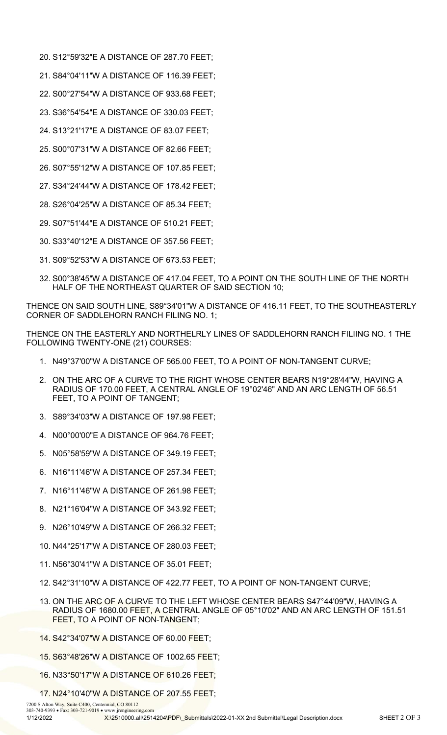- 20. S12°59'32"E A DISTANCE OF 287.70 FEET;
- 21. S84°04'11"W A DISTANCE OF 116.39 FEET;
- 22. S00°27'54"W A DISTANCE OF 933.68 FEET;
- 23. S36°54'54"E A DISTANCE OF 330.03 FEET;
- 24. S13°21'17"E A DISTANCE OF 83.07 FEET;
- 25. S00°07'31"W A DISTANCE OF 82.66 FEET;
- 26. S07°55'12"W A DISTANCE OF 107.85 FEET;
- 27. S34°24'44"W A DISTANCE OF 178.42 FEET;
- 28. S26°04'25"W A DISTANCE OF 85.34 FEET;
- 29. S07°51'44"E A DISTANCE OF 510.21 FEET;
- 30. S33°40'12"E A DISTANCE OF 357.56 FEET;
- 31. S09°52'53"W A DISTANCE OF 673.53 FEET;
- 32. S00°38'45"W A DISTANCE OF 417.04 FEET, TO A POINT ON THE SOUTH LINE OF THE NORTH HALF OF THE NORTHEAST QUARTER OF SAID SECTION 10;

THENCE ON SAID SOUTH LINE, S89°34'01"W A DISTANCE OF 416.11 FEET, TO THE SOUTHEASTERLY CORNER OF SADDLEHORN RANCH FILING NO. 1;

THENCE ON THE EASTERLY AND NORTHELRLY LINES OF SADDLEHORN RANCH FILIING NO. 1 THE FOLLOWING TWENTY-ONE (21) COURSES:

- 1. N49°37'00"W A DISTANCE OF 565.00 FEET, TO A POINT OF NON-TANGENT CURVE;
- 2. ON THE ARC OF A CURVE TO THE RIGHT WHOSE CENTER BEARS N19°28'44"W, HAVING A RADIUS OF 170.00 FEET, A CENTRAL ANGLE OF 19°02'46" AND AN ARC LENGTH OF 56.51 FEET, TO A POINT OF TANGENT;
- 3. S89°34'03"W A DISTANCE OF 197.98 FEET;
- 4. N00°00'00"E A DISTANCE OF 964.76 FEET;
- 5. N05°58'59"W A DISTANCE OF 349.19 FEET;
- 6. N16°11'46"W A DISTANCE OF 257.34 FEET;
- 7. N16°11'46"W A DISTANCE OF 261.98 FEET;
- 8. N21°16'04"W A DISTANCE OF 343.92 FEET;
- 9. N26°10'49"W A DISTANCE OF 266.32 FEET;
- 10. N44°25'17"W A DISTANCE OF 280.03 FEET;
- 11. N56°30'41"W A DISTANCE OF 35.01 FEET;
- 12. S42°31'10"W A DISTANCE OF 422.77 FEET, TO A POINT OF NON-TANGENT CURVE;
- 13. ON THE ARC OF A CURVE TO THE LEFT WHOSE CENTER BEARS S47°44'09"W, HAVING A RADIUS OF 1680.00 FEET, A CENTRAL ANGLE OF 05°10'02" AND AN ARC LENGTH OF 151.51 FEET, TO A POINT OF NON-TANGENT;
- 14. S42°34'07"W A DISTANCE OF 60.00 FEET;
- 15. S63°48'26"W A DISTANCE OF 1002.65 FEET;
- 16. N33°50'17"W A DISTANCE OF 610.26 FEET;
- 17. N24°10'40"W A DISTANCE OF 207.55 FEET;